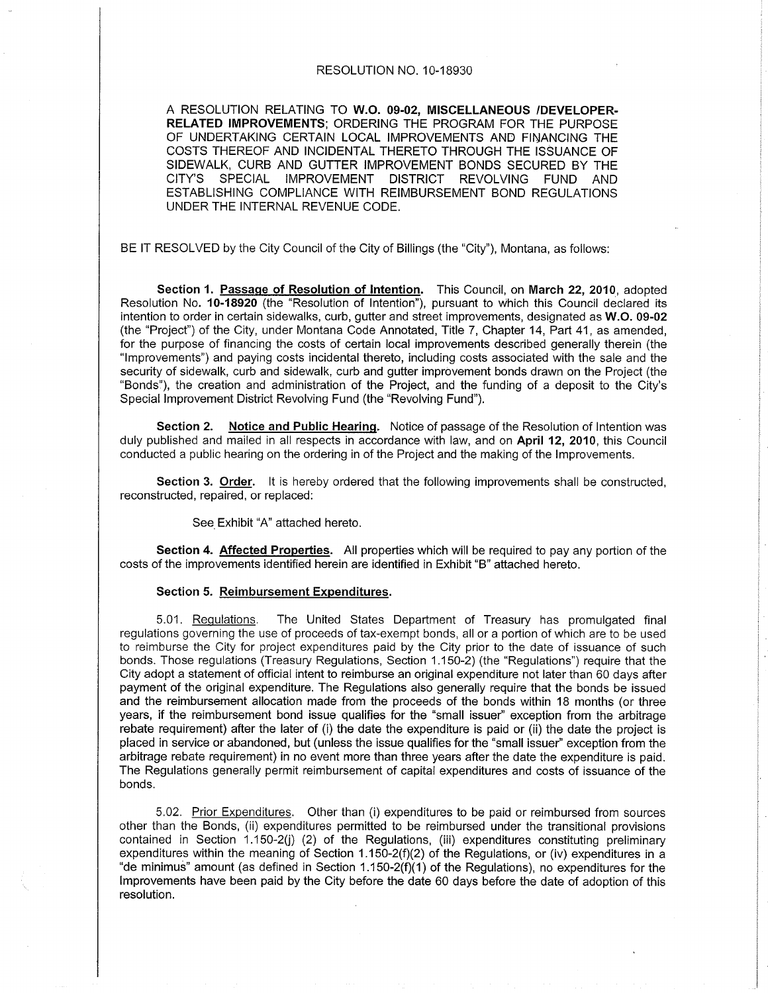### RESOLUTION NO. 10-18930

A RESOLUTION RELATING TO W.O. 09-02, MISCELLANEOUS /DEVELOPER. RELATED IMPROVEMENTS: ORDERING THE PROGRAM FOR THE PURPOSE OF UNDERTAKING CERTAIN LOCAL IMPROVEMENTS AND FINANCING THE COSTS THEREOF AND INCIDENTAL THERETO THROUGH THE ISSUANCE OF SIDEWALK, CURB AND GUTTER IMPROVEMENT BONDS SECURED BY THE CITY'S SPECIAL IMPROVEMENT DISTRICT REVOLVING FUND AND ESTABLISHING COMPLIANCE WITH REIMBURSEMENT BOND REGULATIONS UNDER THE INTERNAL REVENUE CODE.

BE lT RESOLVED by the City Council of the City of Billings (the "City"), Montana, as follows:

Section 1. Passage of Resolution of Intention. This Council, on March 22, 2010, adopted Resolution No. 10-18920 (the "Resolution of Intention"), pursuant to which this Council declared its intention to order in certain sidewalks, curb, gutter and street improvements, designated as W.O. 09-02 (the "Project") of the City, under Montana Code Annotated, Title 7, Chapter 14, Part 41, as amended, for the purpose of financing the costs of certain local improvements described generally therein (the "lmprovements") and paying costs incidental thereto, including costs associated with the sale and the security of sidewalk, curb and sidewalk, curb and gutter improvement bonds drawn on the Project (the "Bonds"), the creation and administration of the Project, and the funding of a deposit to the City's Special lmprovement District Revolving Fund (the "Revolving Fund").

Section 2. Notice and Public Hearing. Notice of passage of the Resolution of Intention was duly published and mailed in all respects in accordance with law, and on April 12, 2010, this Council conducted a public hearing on the ordering in of the Project and the making of the lmprovements.

Section 3. Order. It is hereby ordered that the following improvements shall be constructed, reconstructed, repaired, or replaced:

See Exhibit "A" attached hereto.

Section 4. Affected Properties. All properties which will be required to pay any portion of the costs of the improvements identified herein are identified in Exhibit "B" attached hereto.

#### Section 5. Reimbursement Expenditures.

5.01, Requlations. The United States Depaftment of Treasury has promulgated final regulations governing the use of proceeds of tax-exempt bonds, all or a poftion of which are to be used to reimburse the City for project expenditures paid by the City prior to the date of issuance of such bonds. Those regulations (Treasury Regulations, Section 1.150-2) (the "Regulations") require that the City adopt a statement of official intent to reimburse an original expenditure not later than 60 days after payment of the original expenditure. The Regulations also generally require that the bonds be issued and the reimbursement allocation made from the proceeds of the bonds within 18 months (or three years, if the reimbursement bond issue qualifies for the "small issuer" exception from the arbitrage rebate requirement) after the later of (i) the date the expenditure is paid or (ii) the date the project is placed in service or abandoned, but (unless the issue qualifies for the "small issuer" exception from the arbitrage rebate requirement) in no event more than three years after the date the expenditure is paid. The Regulations generally permit reimbursement of capital expenditures and costs of issuance of the bonds.

5.02. Prior Expenditures. Other than (i) expenditures to be paid or reimbursed from sources other than the Bonds, (ii) expenditures permitted to be reimbursed under the transitional provisions contained in Section 1.150-2(ù (2) of the Regulations, (iii) expenditures constituting preliminary expenditures within the meaning of Section 1.150-2(f)(2) of the Regulations, or (iv) expenditures in a "de minimus" amount (as defined in Section 1.150-2(f)(1) of the Regulations), no expenditures forthe lmprovements have been paid by the City before the date 60 days before the date of adoption of this resolution.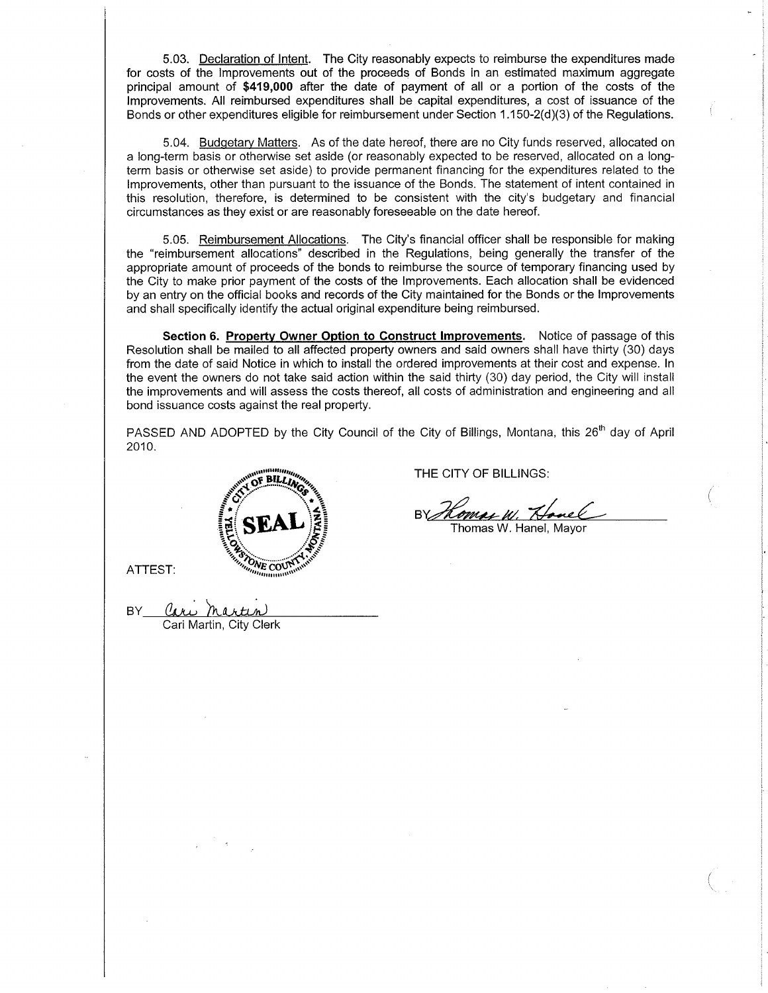5.03. Declaration of lntent. The City reasonably expects to reimburse the expenditures made for costs of the lmprovements out of the proceeds of Bonds in an estimated maximum aggregate principal amount of \$419,000 after the date of payment of all or a portion of the costs of the lmprovements. All reimbursed expenditures shall be capital expenditures, a cost of issuance of the Bonds or other expenditures eligible for reimbursement under Section  $1.150 - 2(d)(3)$  of the Regulations.

5.04. Budqetarv Matters. As of the date hereof, there are no City funds reserved, allocated on a long-term basis or otherwise set aside (or reasonably expected to be reserved, allocated on a longterm basis or otherwise set aside) to provide permanent financing for the expenditures related to the lmprovements, other than pursuant to the issuance of the Bonds. The statement of intent contained in this resolution, therefore, is determined to be consistent with the city's budgetary and financial circumstances as they exist or are reasonably foreseeable on the date hereof.

5.05. Reimbursement Allocations. The City's financial officer shall be responsible for making the "reimbursement allocations" described in the Regulations, being generally the transfer of the appropriate amount of proceeds of the bonds to reimburse the source of temporary financing used by the City to make prior payment of the costs of the lmprovements. Each allocation shall be evidenced by an entry on the official books and records of the City maintained for the Bonds or the lmprovements and shall specifically identify the actual original expenditure being reimbursed.

Section 6. Property Owner Option to Construct Improvements. Notice of passage of this Resolution shall be mailed to all affected propefty owners and said owners shall have thirty (30) days from the date of said Notice in which to install the ordered improvements at their cost and expense. In the event the owners do not take said action within the said thirty (30) day period, the City will install the improvements and will assess the costs thereof, all costs of administration and engineering and all bond issuance costs against the real propefiy.

PASSED AND ADOPTED by the City Council of the City of Billings, Montana, this 26<sup>th</sup> day of April 2010.



BY Cari martin

Cari Martin, City Clerk

THE CITY OF BILLINGS:

Ry Hamas W. Hanel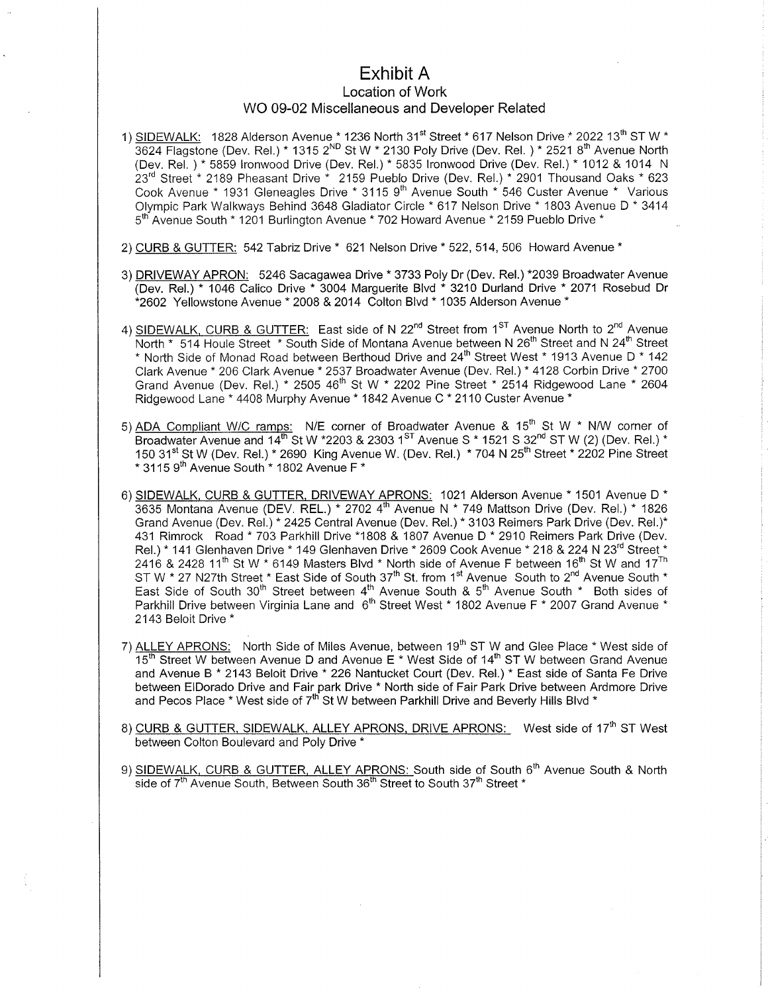# Exhibit A

## Location of Work

## WO 09-02 Miscellaneous and Developer Related

- 1) SIDEWALK: 1828 Alderson Avenue  $*$  1236 North 31<sup>st</sup> Street  $*$  617 Nelson Drive  $*$  2022 13<sup>th</sup> ST W  $*$ 3624 Flagstone (Dev. Rel.) \* 1315 2<sup>ND</sup> St W \* 2130 Poly Drive (Dev. Rel.) \* 2521 8<sup>th</sup> Avenue North (Dev. Rel.)\* 5859 Ironwood Drive (Dev. Rel.)\* 5835 Ironwood Drive (Dev. Rel.)\* 1012 & 1014 N  $23<sup>rd</sup>$  Street<sup>\*</sup> 2189 Pheasant Drive  $*$  2159 Pueblo Drive (Dev. Rel.)  $*$  2901 Thousand Oaks  $*$  623 Cook Avenue \* 1931 Gleneagles Drive \* 3115 9'n Avenue South \* 546 Custer Avenue \* Various Olympic Park Walkways Behind 3648 Gladiator Circle \* 617 Nelson Drive \* 1803 AvenueD\* <sup>3414</sup> 5<sup>th</sup> Avenue South \* 1201 Burlington Avenue \* 702 Howard Avenue \* 2159 Pueblo Drive \*
- 2) CURB & GUTTER: 542 Tabriz Drive \* 621 Nelson Drive \* 522, 514, 506 Howard Avenue \*
- 3) DRIVEWAY APRON: 5246 Sacagawea Drive \* 3733 Poly Dr (Dev. Rel.) \*2039 Broadwater Avenue (Dev. Rel.) \* 1046 Calico Drive \* 3004 Marguerite Blvd \* 3210 Durland Drive \* 2071 Rosebud Dr "2602 Yellowstone Avenue \* 2008 &2014 Colton Blvd \* 1035 Alderson Avenue \*
- 4) SIDEWALK, CURB & GUTTER: East side of N 22<sup>nd</sup> Street from 1<sup>ST</sup> Avenue North to 2<sup>nd</sup> Avenue North \* 514 Houle Street \* South Side of Montana Avenue between N 26<sup>th</sup> Street and N 24<sup>th</sup> Street \* North Side of Monad Road between Berthoud Drive and 24<sup>th</sup> Street West \* 1913 Avenue D \* 142 Clark Avenue \* 206 Clark Avenue. 2537 Broadwater Avenue (Dev. Rel.) " 4128 Corbin Drive . <sup>2700</sup> Grand Avenue (Dev. Rel.) \* 2505 46'n St W \* 2202 Pine Street \* 2514 Ridgewood Lane \* <sup>2604</sup> Ridgewood Lane \* 4408 Murphy Avenue \* 1842 Avenue C \* 2110 Custer Avenue \*
- 5) ADA Compliant W/C ramps: N/E corner of Broadwater Avenue &  $15<sup>th</sup>$  St W  $*$  N/W corner of Broadwater Avenue and  $14^{\text{th}}$  St W \*2203 & 2303 1<sup>ST</sup> Avenue S \* 1521 S 32<sup>nd</sup> ST W (2) (Dev. Rel.) \* 150 31<sup>st</sup> St W (Dev. Rel.) \* 2690 King Avenue W. (Dev. Rel.) \* 704 N 25<sup>th</sup> Street \* 2202 Pine Street  $*$  3115 9<sup>th</sup> Avenue South  $*$  1802 Avenue F $*$
- 6) SIDEWALK, CURB & GUTTER, DRIVEWAY APRONS: 1021 Alderson Avenue \* 1501 Avenue D \* 3635 Montana Avenue (DEV. REL.) \* 2702 4<sup>th</sup> Avenue N \* 749 Mattson Drive (Dev. Rel.) \* 1826 Grand Avenue (Dev. Rel.) \* 2425 Central Avenue (Dev. Rel.) \* 3103 Reimers Park Drive (Dev. Rel.)\* <sup>431</sup>Rimrock Road \* 703 Parkhill Drive \*1808 & 1807 Avenue D " 2910 Reimers Park Drive (Dev. Rel.) \* 141 Glenhaven Drive \* 149 Glenhaven Drive \* 2609 Cook Avenue \* 218 & 224 N 23<sup>rd</sup> Street \*  $2416$  & 2428 11<sup>th</sup> St W  $*$  6149 Masters Blvd  $*$  North side of Avenue F between 16<sup>th</sup> St W and 17<sup>Th</sup> ST W \* 27 N27th Street \* East Side of South 37<sup>th</sup> St. from 1<sup>st</sup> Avenue South to 2<sup>nd</sup> Avenue South \* <br>East Side of South 30<sup>th</sup> Street between 4<sup>th</sup> Avenue South & 5<sup>th</sup> Avenue South \* Both sides of Parkhill Drive between Virginia Lane and 6<sup>th</sup> Street West \* 1802 Avenue F \* 2007 Grand Avenue \* 2143 Beloit Drive \*
- 7) ALLEY APRONS: North Side of Miles Avenue, between 19<sup>th</sup> ST W and Glee Place \* West side of 15<sup>th</sup> Street W between Avenue D and Avenue E  $*$  West Side of 14<sup>th</sup> ST W between Grand Avenue and Avenue B \* 2143 Beloit Drive \* 226 Nantucket Court (Dev. Rel.) \* East side of Santa Fe Drive between ElDorado Drive and Fair park Drive \* Nofth side of Fair Park Drive between Ardmore Drive and Pecos Place \* West side of 7<sup>th</sup> St W between Parkhill Drive and Beverly Hills Blvd \*
- 8) CURB & GUTTER, SIDEWALK, ALLEY APRONS, DRIVE APRONS: West side of 17<sup>th</sup> ST West between Colton Boulevard and Poly Drive \*
- 9) SIDEWALK, CURB & GUTTER, ALLEY APRONS: South side of South 6<sup>th</sup> Avenue South & North side of 7<sup>th</sup> Avenue South, Between South 36<sup>th</sup> Street to South 37<sup>th</sup> Street \*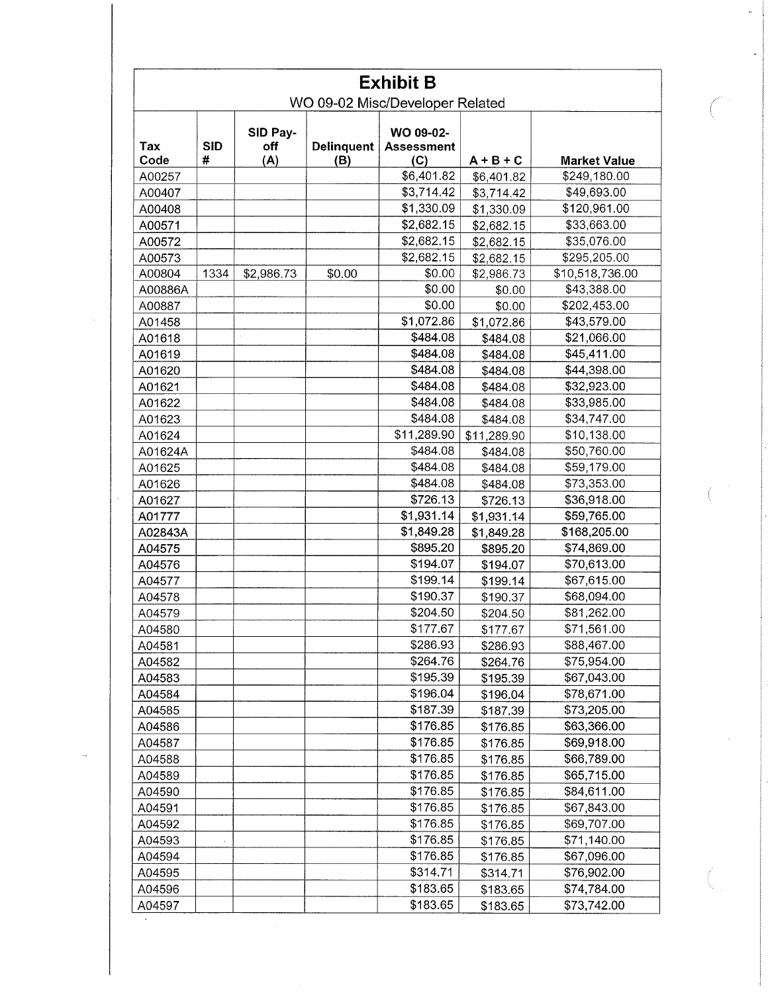| <b>Exhibit B</b><br>WO 09-02 Misc/Developer Related |            |                 |            |                                |             |                     |
|-----------------------------------------------------|------------|-----------------|------------|--------------------------------|-------------|---------------------|
| Tax                                                 | <b>SID</b> | SID Pay-<br>off | Delinquent | WO 09-02-<br><b>Assessment</b> |             |                     |
| Code                                                | #          | (A)             | (B)        | (C)                            | $A + B + C$ | <b>Market Value</b> |
| A00257                                              |            |                 |            | \$6,401.82                     | \$6,401.82  | \$249,180.00        |
| A00407                                              |            |                 |            | \$3,714.42                     | \$3,714.42  | \$49,693.00         |
| A00408                                              |            |                 |            | \$1,330.09                     | \$1,330.09  | \$120,961.00        |
| A00571                                              |            |                 |            | \$2,682.15                     | \$2,682.15  | \$33,663.00         |
| A00572                                              |            |                 |            | \$2,682.15                     | \$2,682.15  | \$35,076.00         |
| A00573                                              |            |                 |            | \$2,682.15                     | \$2,682.15  | \$295,205.00        |
| A00804                                              | 1334       | \$2,986.73      | \$0.00     | \$0.00                         | \$2,986.73  | \$10,518,736.00     |
| A00886A                                             |            |                 |            | \$0.00                         | \$0.00      | \$43,388.00         |
| A00887                                              |            |                 |            | \$0.00                         | \$0.00      | \$202,453.00        |
| A01458                                              |            |                 |            | \$1,072.86                     | \$1,072.86  | \$43,579.00         |
| A01618                                              |            |                 |            | \$484.08                       | \$484.08    | \$21,066.00         |
| A01619                                              |            |                 |            | \$484.08                       | \$484.08    | \$45,411.00         |
| A01620                                              |            |                 |            | \$484.08                       | \$484.08    | \$44,398.00         |
| A01621                                              |            |                 |            | \$484.08                       | \$484.08    | \$32,923.00         |
| A01622                                              |            |                 |            | \$484.08                       | \$484.08    | \$33,985.00         |
| A01623                                              |            |                 |            | \$484.08                       | \$484.08    | \$34,747.00         |
| A01624                                              |            |                 |            | \$11,289.90                    | \$11,289.90 | \$10,138.00         |
| A01624A                                             |            |                 |            | \$484.08                       | \$484.08    | \$50,760.00         |
| A01625                                              |            |                 |            | \$484.08                       | \$484.08    | \$59,179.00         |
| A01626                                              |            |                 |            | \$484.08                       | \$484.08    | \$73,353.00         |
| A01627                                              |            |                 |            | \$726.13                       | \$726.13    | \$36,918.00         |
| A01777                                              |            |                 |            | \$1,931.14                     | \$1,931.14  | \$59,765.00         |
| A02843A                                             |            |                 |            | \$1,849.28                     | \$1,849.28  | \$168,205.00        |
| A04575                                              |            |                 |            | \$895.20                       | \$895.20    | \$74,869.00         |
| A04576                                              |            |                 |            | \$194.07                       | \$194.07    | \$70,613.00         |
| A04577                                              |            |                 |            | \$199.14                       | \$199.14    | \$67,615.00         |
| A04578                                              |            |                 |            | \$190.37                       | \$190.37    | \$68,094.00         |
| A04579                                              |            |                 |            | \$204.50                       | \$204.50    | \$81,262.00         |
| A04580                                              |            |                 |            | \$177.67                       | \$177.67    | \$71,561.00         |
| A04581                                              |            |                 |            | \$286.93                       | \$286.93    | \$88,467.00         |
| A04582                                              |            |                 |            | \$264.76                       | \$264.76    | \$75,954.00         |
| A04583                                              |            |                 |            | \$195.39                       | \$195.39    | \$67,043.00         |
| A04584                                              |            |                 |            | \$196.04                       | \$196.04    | \$78,671.00         |
| A04585                                              |            |                 |            | \$187.39                       | \$187.39    | \$73,205.00         |
| A04586                                              |            |                 |            | \$176.85                       | \$176.85    | \$63,366.00         |
| A04587                                              |            |                 |            | \$176.85                       | \$176.85    | \$69,918.00         |
| A04588                                              |            |                 |            | \$176.85                       | \$176.85    | \$66,789.00         |
| A04589                                              |            |                 |            | \$176.85                       | \$176.85    | \$65,715.00         |
| A04590                                              |            |                 |            | \$176.85                       | \$176.85    | \$84,611.00         |
| A04591                                              |            |                 |            | \$176.85                       | \$176.85    | \$67,843.00         |
| A04592                                              |            |                 |            | \$176.85                       | \$176.85    | \$69,707.00         |
| A04593                                              |            |                 |            | \$176.85                       | \$176.85    | \$71,140.00         |
| A04594                                              |            |                 |            | \$176.85                       | \$176.85    | \$67,096.00         |
| A04595                                              |            |                 |            | \$314.71                       | \$314.71    | \$76,902.00         |
| A04596                                              |            |                 |            | \$183.65                       | \$183.65    | \$74,784.00         |
| A04597                                              |            |                 |            | \$183.65                       | \$183.65    | \$73,742.00         |

.,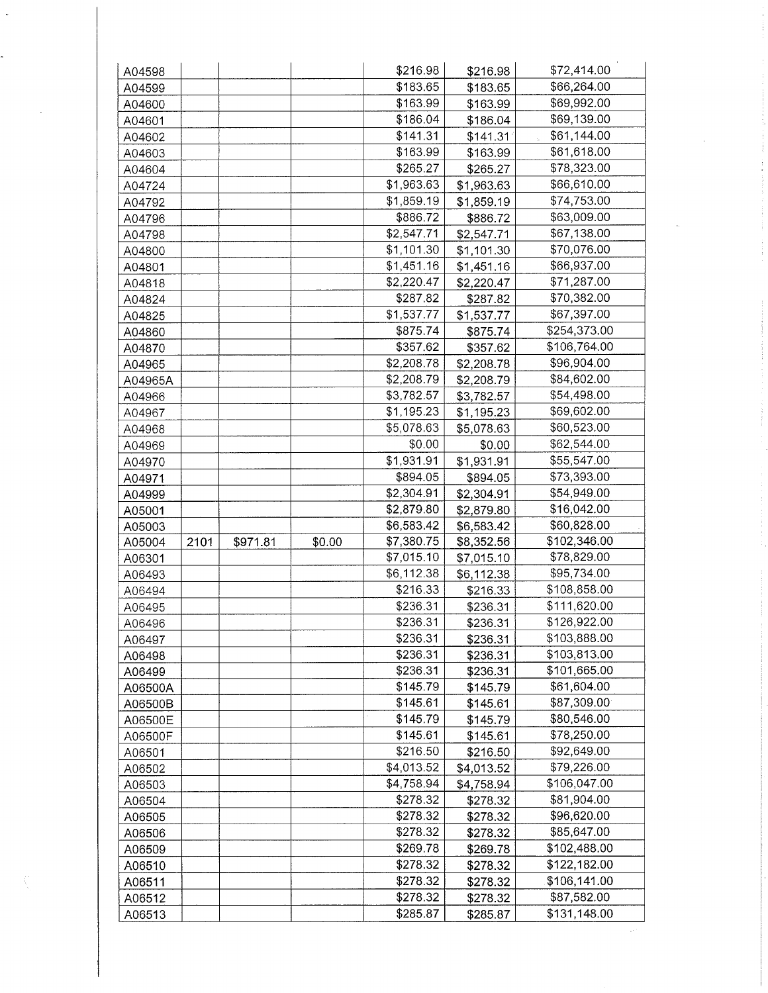| A04598           |      |          |        | \$216.98   | \$216.98                 | \$72,414.00  |
|------------------|------|----------|--------|------------|--------------------------|--------------|
| A04599           |      |          |        | \$183.65   | \$183.65                 | \$66,264.00  |
| A04600           |      |          |        | \$163.99   | \$163.99                 | \$69,992.00  |
| A04601           |      |          |        | \$186.04   | \$186.04                 | \$69,139.00  |
| A04602           |      |          |        | \$141.31   | \$141.31                 | \$61,144.00  |
| A04603           |      |          |        | \$163.99   | \$163.99                 | \$61,618.00  |
| A04604           |      |          |        | \$265.27   | \$265.27                 | \$78,323.00  |
| A04724           |      |          |        | \$1,963.63 | \$1,963.63               | \$66,610.00  |
| A04792           |      |          |        | \$1,859.19 | \$1,859.19               | \$74,753.00  |
| A04796           |      |          |        | \$886.72   | \$886.72                 | \$63,009.00  |
| A04798           |      |          |        | \$2,547.71 | \$2,547.71               | \$67,138.00  |
| A04800           |      |          |        | \$1,101.30 | \$1,101.30               | \$70,076.00  |
| A04801           |      |          |        | \$1,451.16 | \$1,451.16               | \$66,937.00  |
| A04818           |      |          |        | \$2,220.47 | \$2,220.47               | \$71,287.00  |
| A04824           |      |          |        | \$287.82   | \$287.82                 | \$70,382.00  |
| A04825           |      |          |        | \$1,537.77 | \$1,537.77               | \$67,397.00  |
| A04860           |      |          |        | \$875.74   | \$875.74                 | \$254,373.00 |
|                  |      |          |        | \$357.62   | \$357.62                 | \$106,764.00 |
| A04870<br>A04965 |      |          |        | \$2,208.78 | \$2,208.78               | \$96,904.00  |
|                  |      |          |        | \$2,208.79 |                          | \$84,602.00  |
| A04965A          |      |          |        | \$3,782.57 | \$2,208.79<br>\$3,782.57 | \$54,498.00  |
| A04966           |      |          |        | \$1,195.23 |                          | \$69,602.00  |
| A04967           |      |          |        | \$5,078.63 | \$1,195.23               | \$60,523.00  |
| A04968           |      |          |        |            | \$5,078.63               |              |
| A04969           |      |          |        | \$0.00     | \$0.00                   | \$62,544.00  |
| A04970           |      |          |        | \$1,931.91 | \$1,931.91               | \$55,547.00  |
| A04971           |      |          |        | \$894.05   | \$894.05                 | \$73,393.00  |
| A04999           |      |          |        | \$2,304.91 | \$2,304.91               | \$54,949.00  |
| A05001           |      |          |        | \$2,879.80 | \$2,879.80               | \$16,042.00  |
| A05003           |      |          |        | \$6,583.42 | \$6,583.42               | \$60,828.00  |
| A05004           | 2101 | \$971.81 | \$0.00 | \$7,380.75 | \$8,352.56               | \$102,346.00 |
| A06301           |      |          |        | \$7,015.10 | \$7,015.10               | \$78,829.00  |
| A06493           |      |          |        | \$6,112.38 | \$6,112.38               | \$95,734.00  |
| A06494           |      |          |        | \$216.33   | \$216.33                 | \$108,858.00 |
| A06495           |      |          |        | \$236.31   | \$236.31                 | \$111,620.00 |
| A06496           |      |          |        | \$236.31   | \$236.31                 | \$126,922.00 |
| A06497           |      |          |        | \$236.31   | \$236.31                 | \$103,888.00 |
| A06498           |      |          |        | \$236.31   | \$236.31                 | \$103,813.00 |
| A06499           |      |          |        | \$236.31   | \$236.31                 | \$101,665.00 |
| A06500A          |      |          |        | \$145.79   | \$145.79                 | \$61,604.00  |
| A06500B          |      |          |        | \$145.61   | \$145.61                 | \$87,309.00  |
| A06500E          |      |          |        | \$145.79   | \$145.79                 | \$80,546.00  |
| A06500F          |      |          |        | \$145.61   | \$145.61                 | \$78,250.00  |
| A06501           |      |          |        | \$216.50   | \$216.50                 | \$92,649.00  |
| A06502           |      |          |        | \$4,013.52 | \$4,013.52               | \$79,226.00  |
| A06503           |      |          |        | \$4,758.94 | \$4,758.94               | \$106,047.00 |
| A06504           |      |          |        | \$278.32   | \$278.32                 | \$81,904.00  |
| A06505           |      |          |        | \$278.32   | \$278.32                 | \$96,620.00  |
| A06506           |      |          |        | \$278.32   | \$278.32                 | \$85,647.00  |
| A06509           |      |          |        | \$269.78   | \$269.78                 | \$102,488.00 |
| A06510           |      |          |        | \$278.32   | \$278.32                 | \$122,182.00 |
| A06511           |      |          |        | \$278.32   | \$278.32                 | \$106,141.00 |
| A06512           |      |          |        | \$278.32   | \$278.32                 | \$87,582.00  |
| A06513           |      |          |        | \$285.87   | \$285.87                 | \$131,148.00 |

 $\bar{\gamma}$ 

i<br>H

Ť,

 $\frac{1}{2}$ 

 $\mathcal{A}^{(1)}$ 

 $\sim$   $\omega$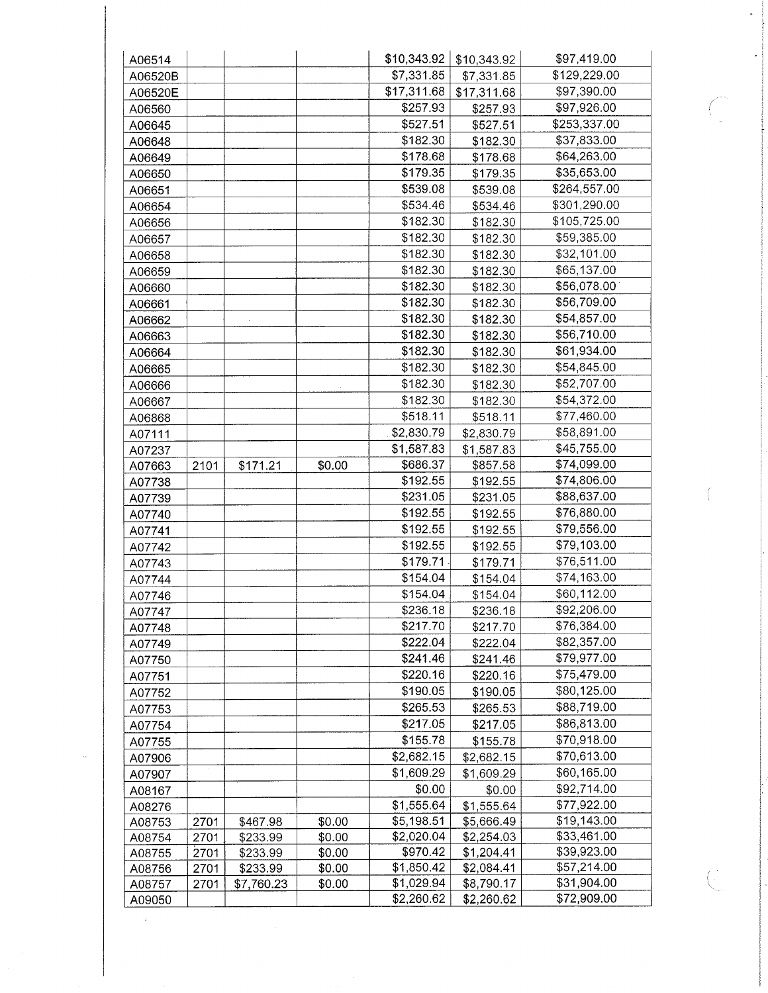| A06514  |      |            |        | \$10,343.92 | \$10,343.92 | \$97,419.00  |
|---------|------|------------|--------|-------------|-------------|--------------|
| A06520B |      |            |        | \$7,331.85  | \$7,331.85  | \$129,229.00 |
| A06520E |      |            |        | \$17,311.68 | \$17,311.68 | \$97,390.00  |
| A06560  |      |            |        | \$257.93    | \$257.93    | \$97,926.00  |
| A06645  |      |            |        | \$527.51    | \$527.51    | \$253,337.00 |
| A06648  |      |            |        | \$182.30    | \$182.30    | \$37,833.00  |
| A06649  |      |            |        | \$178.68    | \$178.68    | \$64,263.00  |
| A06650  |      |            |        | \$179.35    | \$179.35    | \$35,653.00  |
| A06651  |      |            |        | \$539.08    | \$539.08    | \$264,557.00 |
| A06654  |      |            |        | \$534.46    | \$534.46    | \$301,290.00 |
| A06656  |      |            |        | \$182.30    | \$182.30    | \$105,725.00 |
|         |      |            |        | \$182.30    | \$182.30    | \$59,385.00  |
| A06657  |      |            |        | \$182.30    | \$182.30    | \$32,101.00  |
| A06658  |      |            |        | \$182.30    |             | \$65,137.00  |
| A06659  |      |            |        |             | \$182.30    |              |
| A06660  |      |            |        | \$182.30    | \$182.30    | \$56,078.00  |
| A06661  |      |            |        | \$182.30    | \$182.30    | \$56,709.00  |
| A06662  |      |            |        | \$182.30    | \$182.30    | \$54,857.00  |
| A06663  |      |            |        | \$182.30    | \$182.30    | \$56,710.00  |
| A06664  |      |            |        | \$182.30    | \$182.30    | \$61,934.00  |
| A06665  |      |            |        | \$182.30    | \$182.30    | \$54,845.00  |
| A06666  |      |            |        | \$182.30    | \$182.30    | \$52,707.00  |
| A06667  |      |            |        | \$182.30    | \$182.30    | \$54,372.00  |
| A06868  |      |            |        | \$518.11    | \$518.11    | \$77,460.00  |
| A07111  |      |            |        | \$2,830.79  | \$2,830.79  | \$58,891.00  |
| A07237  |      |            |        | \$1,587.83  | \$1,587.83  | \$45,755.00  |
| A07663  | 2101 | \$171.21   | \$0.00 | \$686.37    | \$857.58    | \$74,099.00  |
| A07738  |      |            |        | \$192.55    | \$192.55    | \$74,806.00  |
| A07739  |      |            |        | \$231.05    | \$231.05    | \$88,637.00  |
| A07740  |      |            |        | \$192.55    | \$192.55    | \$76,880.00  |
| A07741  |      |            |        | \$192.55    | \$192.55    | \$79,556.00  |
| A07742  |      |            |        | \$192.55    | \$192.55    | \$79,103.00  |
| A07743  |      |            |        | \$179.71    | \$179.71    | \$76,511.00  |
| A07744  |      |            |        | \$154.04    | \$154.04    | \$74,163.00  |
| A07746  |      |            |        | \$154.04    | \$154.04    | \$60,112.00  |
| A07747  |      |            |        | \$236.18    | \$236.18    | \$92,206.00  |
| A07748  |      |            |        | \$217.70    | \$217.70    | \$76,384.00  |
| A07749  |      |            |        | \$222.04    | \$222.04    | \$82,357.00  |
| A07750  |      |            |        | \$241.46    | \$241.46    | \$79,977.00  |
| A07751  |      |            |        | \$220.16    | \$220.16    | \$75,479.00  |
| A07752  |      |            |        | \$190.05    | \$190.05    | \$80,125.00  |
| A07753  |      |            |        | \$265.53    | \$265.53    | \$88,719.00  |
| A07754  |      |            |        | \$217.05    | \$217.05    | \$86,813.00  |
|         |      |            |        | \$155.78    | \$155.78    | \$70,918.00  |
| A07755  |      |            |        | \$2,682.15  | \$2,682.15  | \$70,613.00  |
| A07906  |      |            |        |             |             |              |
| A07907  |      |            |        | \$1,609.29  | \$1,609.29  | \$60,165.00  |
| A08167  |      |            |        | \$0.00      | \$0.00      | \$92,714.00  |
| A08276  |      |            |        | \$1,555.64  | \$1,555.64  | \$77,922.00  |
| A08753  | 2701 | \$467.98   | \$0.00 | \$5,198.51  | \$5,666.49  | \$19,143.00  |
| A08754  | 2701 | \$233.99   | \$0.00 | \$2,020.04  | \$2,254.03  | \$33,461.00  |
| A08755  | 2701 | \$233.99   | \$0.00 | \$970.42    | \$1,204.41  | \$39,923.00  |
| A08756  | 2701 | \$233.99   | \$0.00 | \$1,850.42  | \$2,084.41  | \$57,214.00  |
| A08757  | 2701 | \$7,760.23 | \$0.00 | \$1,029.94  | \$8,790.17  | \$31,904.00  |
| A09050  |      |            |        | \$2,260.62  | \$2,260.62  | \$72,909.00  |

 $\ddot{\phantom{0}}$ 

 $\left(\right)$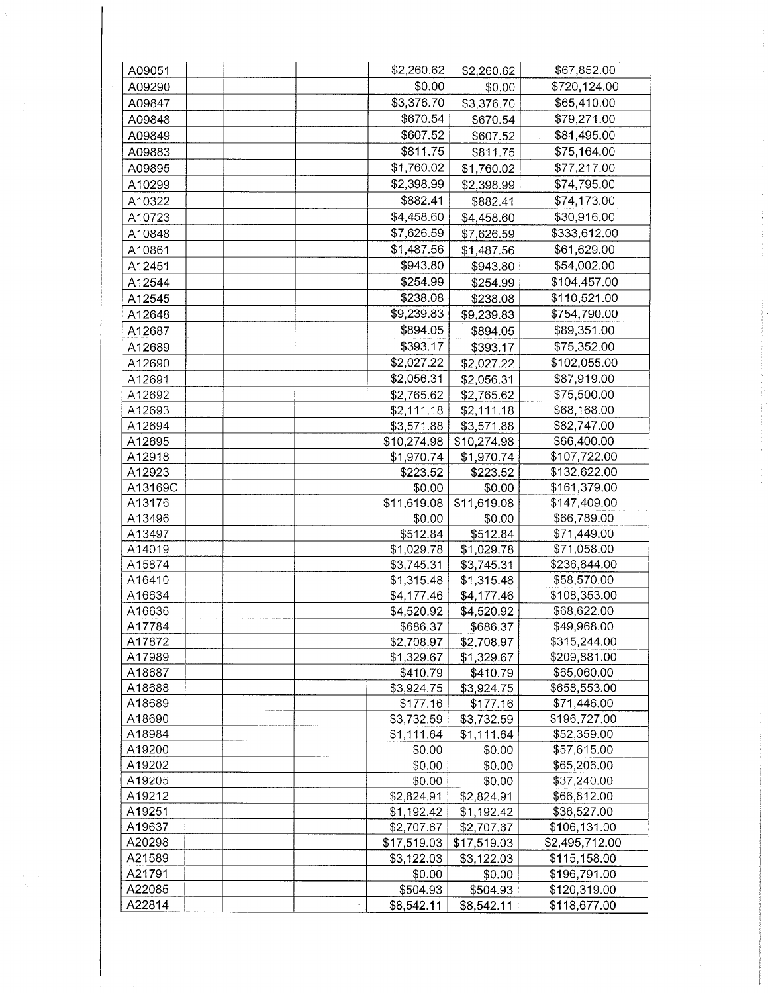| A09051  | \$2,260.62  | \$2,260.62  | \$67,852.00    |
|---------|-------------|-------------|----------------|
| A09290  | \$0.00      | \$0.00      | \$720,124.00   |
| A09847  | \$3,376.70  | \$3,376.70  | \$65,410.00    |
| A09848  | \$670.54    | \$670.54    | \$79,271.00    |
| A09849  | \$607.52    | \$607.52    | \$81,495.00    |
| A09883  | \$811.75    | \$811.75    | \$75,164.00    |
| A09895  | \$1,760.02  | \$1,760.02  | \$77,217.00    |
| A10299  | \$2,398.99  |             | \$74,795.00    |
|         | \$882.41    | \$2,398.99  |                |
| A10322  |             | \$882.41    | \$74,173.00    |
| A10723  | \$4,458.60  | \$4,458.60  | \$30,916.00    |
| A10848  | \$7,626.59  | \$7,626.59  | \$333,612.00   |
| A10861  | \$1,487.56  | \$1,487.56  | \$61,629.00    |
| A12451  | \$943.80    | \$943.80    | \$54,002.00    |
| A12544  | \$254.99    | \$254.99    | \$104,457.00   |
| A12545  | \$238.08    | \$238.08    | \$110,521.00   |
| A12648  | \$9,239.83  | \$9,239.83  | \$754,790.00   |
| A12687  | \$894.05    | \$894.05    | \$89,351.00    |
| A12689  | \$393.17    | \$393.17    | \$75,352.00    |
| A12690  | \$2,027.22  | \$2,027.22  | \$102,055.00   |
| A12691  | \$2,056.31  | \$2,056.31  | \$87,919.00    |
| A12692  | \$2,765.62  | \$2,765.62  | \$75,500.00    |
| A12693  | \$2,111.18  | \$2,111.18  | \$68,168.00    |
| A12694  | \$3,571.88  | \$3,571.88  | \$82,747.00    |
| A12695  | \$10,274.98 | \$10,274.98 | \$66,400.00    |
| A12918  | \$1,970.74  | \$1,970.74  | \$107,722.00   |
| A12923  | \$223.52    | \$223.52    | \$132,622.00   |
| A13169C | \$0.00      | \$0.00      | \$161,379.00   |
| A13176  | \$11,619.08 | \$11,619.08 | \$147,409.00   |
| A13496  | \$0.00      | \$0.00      | \$66,789.00    |
| A13497  | \$512.84    | \$512.84    | \$71,449.00    |
| A14019  | \$1,029.78  | \$1,029.78  | \$71,058.00    |
| A15874  | \$3,745.31  | \$3,745.31  | \$236,844.00   |
| A16410  | \$1,315.48  | \$1,315.48  | \$58,570.00    |
| A16634  | \$4,177.46  | \$4,177.46  | \$108,353.00   |
| A16636  | \$4,520.92  | \$4,520.92  | \$68,622.00    |
| A17784  | \$686.37    | \$686.37    | \$49,968.00    |
| A17872  | \$2,708.97  | \$2,708.97  | \$315,244.00   |
| A17989  | \$1,329.67  | \$1,329.67  | \$209,881.00   |
| A18687  | \$410.79    | \$410.79    | \$65,060.00    |
| A18688  | \$3,924.75  | \$3,924.75  | \$658,553.00   |
| A18689  | \$177.16    | \$177.16    | \$71,446.00    |
| A18690  | \$3,732.59  | \$3,732.59  | \$196,727.00   |
| A18984  | \$1,111.64  | \$1,111.64  | \$52,359.00    |
| A19200  | \$0.00      | \$0.00      | \$57,615.00    |
| A19202  | \$0.00      | \$0.00      | \$65,206.00    |
| A19205  | \$0.00      | \$0.00      | \$37,240.00    |
| A19212  | \$2,824.91  | \$2,824.91  | \$66,812.00    |
| A19251  | \$1,192.42  | \$1,192.42  | \$36,527.00    |
| A19637  | \$2,707.67  | \$2,707.67  | \$106,131.00   |
| A20298  | \$17,519.03 | \$17,519.03 | \$2,495,712.00 |
| A21589  | \$3,122.03  | \$3,122.03  | \$115,158.00   |
| A21791  | \$0.00      | \$0.00      | \$196,791.00   |
| A22085  | \$504.93    | \$504.93    | \$120,319.00   |
| A22814  | \$8,542.11  | \$8,542.11  | \$118,677.00   |
|         |             |             |                |

 $\frac{1}{3}$ 

 $\tilde{b}$